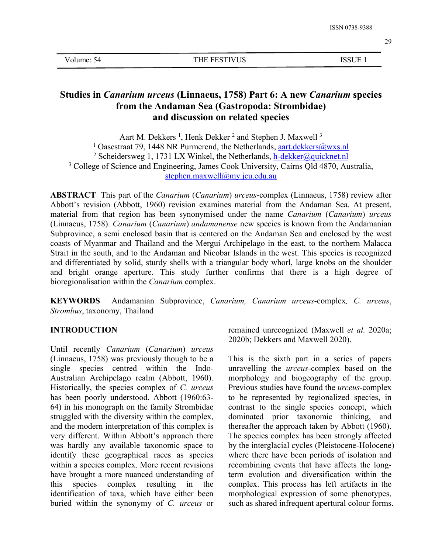| Volume: 54 |  |
|------------|--|
|------------|--|

# **Studies in** *Canarium urceus* **(Linnaeus, 1758) Part 6: A new** *Canarium* **species from the Andaman Sea (Gastropoda: Strombidae) and discussion on related species**

Aart M. Dekkers<sup>1</sup>, Henk Dekker<sup>2</sup> and Stephen J. Maxwell<sup>3</sup> <sup>1</sup> Oasestraat 79, 1448 NR Purmerend, the Netherlands,  $a$ art.dekkers@wxs.nl <sup>2</sup> Scheidersweg 1, 1731 LX Winkel, the Netherlands, [h-dekker@quicknet.nl](mailto:h-dekker@quicknet.nl) <sup>3</sup> College of Science and Engineering, James Cook University, Cairns Old 4870, Australia, [stephen.maxwell@my.jcu.edu.au](mailto:stephen.maxwell@my.jcu.edu.au)

**ABSTRACT** This part of the *Canarium* (*Canarium*) *urceus*-complex (Linnaeus, 1758) review after Abbott's revision (Abbott, 1960) revision examines material from the Andaman Sea. At present, material from that region has been synonymised under the name *Canarium* (*Canarium*) *urceus* (Linnaeus, 1758). *Canarium* (*Canarium*) *andamanense* new species is known from the Andamanian Subprovince, a semi enclosed basin that is centered on the Andaman Sea and enclosed by the west coasts of Myanmar and Thailand and the Mergui Archipelago in the east, to the northern Malacca Strait in the south, and to the Andaman and Nicobar Islands in the west. This species is recognized and differentiated by solid, sturdy shells with a triangular body whorl, large knobs on the shoulder and bright orange aperture. This study further confirms that there is a high degree of bioregionalisation within the *Canarium* complex.

**KEYWORDS** Andamanian Subprovince, *Canarium, Canarium urceus*-complex*, C.urceus*, *Strombus*, taxonomy, Thailand

## **INTRODUCTION**

Until recently *Canarium* (*Canarium*) *urceus* (Linnaeus, 1758) was previously though to be a single species centred within the Indo- Australian Archipelago realm (Abbott, 1960). Historically, the species complex of *C. urceus* has been poorly understood. Abbott (1960:63- 64) in his monograph on the family Strombidae struggled with the diversity within the complex, and the modern interpretation of this complex is very different. Within Abbott's approach there was hardly any available taxonomic space to identify these geographical races as species within a species complex. More recent revisions have brought a more nuanced understanding of this species complex resulting in the identification of taxa, which have either been buried within the synonymy of *C. urceus* or remained unrecognized (Maxwell*et al.* 2020a; 2020b; Dekkers and Maxwell 2020).

This is the sixth part in a series of papers unravelling the *urceus*-complex based on the morphology and biogeography of the group. Previous studies have found the *urceus*-complex to be represented by regionalized species, in contrast to the single species concept, which dominated prior taxonomic thinking, and thereafter the approach taken by Abbott (1960). The species complex has been strongly affected by the interglacial cycles (Pleistocene-Holocene) where there have been periods of isolation and recombining events that have affects the longterm evolution and diversification within the complex. This process has left artifacts in the morphological expression of some phenotypes, such as shared infrequent apertural colour forms.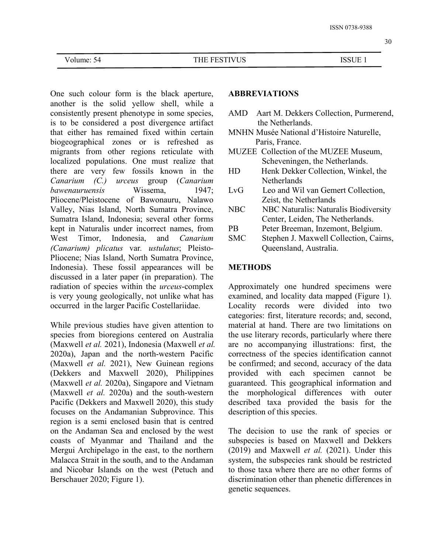One such colour form is the black aperture, another is the solid yellow shell, while a consistently present phenotype in some species, is to be considered a post divergence artifact that either has remained fixed within certain biogeographical zones or is refreshed as migrants from other regions reticulate with localized populations. One must realize that there are very few fossils known in the *Canarium (C.) urceus* group (*Canarium bawenauruensis* Wissema, 1947; Pliocene/Pleistocene of Bawonauru, Nalawo Valley, Nias Island, North Sumatra Province, Sumatra Island, Indonesia; several other forms kept in Naturalis under incorrect names, from West Timor, Indonesia, and *Canarium* SMC Stephen J. Maxwell Collection, Cairns, *(Canarium) plicatus* var*. ustulatus*; Pleisto- Pliocene; Nias Island, North Sumatra Province, Indonesia). These fossil appearances will be discussed in a later paper (in preparation). The radiation of species within the *urceus*-complex is very young geologically, not unlike what has occurred in the larger Pacific Costellariidae.

While previous studies have given attention to species from bioregions centered on Australia (Maxwell *et al.* 2021), Indonesia (Maxwell *et al.* 2020a), Japan and the north-western Pacific (Maxwell *et al.* 2021), New Guinean regions (Dekkers and Maxwell 2020), Philippines (Maxwell *et al.* 2020a), Singapore and Vietnam (Maxwell *et al.* 2020a) and the south-western Pacific (Dekkers and Maxwell 2020), this study focuses on the Andamanian Subprovince. This region is a semi enclosed basin that is centred on the Andaman Sea and enclosed by the west coasts of Myanmar and Thailand and the Mergui Archipelago in the east, to the northern Malacca Strait in the south, and to the Andaman and Nicobar Islands on the west (Petuch and Berschauer 2020; Figure 1).

## **ABBREVIATIONS**

- AMD Aart M. Dekkers Collection, Purmerend, the Netherlands.
- MNHN Musée National d'Histoire Naturelle, Paris, France.
- MUZEE Collection of the MUZEE Museum, Scheveningen, the Netherlands.
- Henk Dekker Collection, Winkel, the Netherlands
- Leo and Wil van Gemert Collection, Zeist, the Netherlands
- NBC Naturalis: Naturalis Biodiversity Center, Leiden, The Netherlands.
- Peter Breeman, Inzemont, Belgium.
- Queensland, Australia.

### **METHODS**

Approximately one hundred specimens were examined, and locality data mapped (Figure 1). Locality records were divided into two categories: first, literature records; and, second, material at hand. There are two limitations on the use literary records, particularly where there are no accompanying illustrations: first, the correctness of the species identification cannot be confirmed; and second, accuracy of the data provided with each specimen cannot be guaranteed. This geographical information and the morphological differences with outer described taxa provided the basis for the description of this species.

The decision to use the rank of species or subspecies is based on Maxwell and Dekkers (2019) and Maxwell *et al.* (2021). Under this system, the subspecies rank should be restricted to those taxa where there are no other forms of discrimination other than phenetic differences in genetic sequences.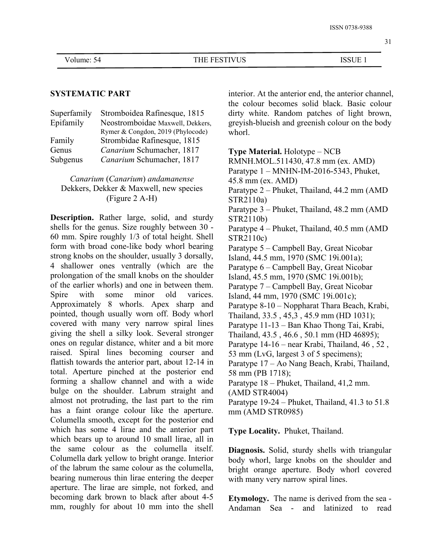## **SYSTEMATIC PART**

| Stromboidea Rafinesque, 1815      | dirty white. Random patches of light brown,     |
|-----------------------------------|-------------------------------------------------|
| Neostromboidae Maxwell, Dekkers,  | greyish-blueish and greenish colour on the body |
| Rymer & Congdon, 2019 (Phylocode) | whorl.                                          |
| Strombidae Rafinesque, 1815       |                                                 |
| Canarium Schumacher, 1817         | <b>Type Material.</b> Holotype $-$ NCB          |
| Canarium Schumacher, 1817         | RMNH.MOL.511430, 47.8 mm (ex. AMD)              |
|                                   |                                                 |

## *Canarium* (*Canarium*) *andamanense* Dekkers, Dekker & Maxwell, new species (Figure 2 A-H)

**Description.** Rather large, solid, and sturdy shells for the genus. Size roughly between 30 - 60 mm. Spire roughly 1/3 of total height. Shell form with broad cone-like body whorl bearing strong knobs on the shoulder, usually 3 dorsally, 4 shallower ones ventrally (which are the prolongation of the small knobs on the shoulder of the earlier whorls) and one in between them. Spire with some minor old varices. Island, 44 mm, 1970 (SMC 19i.001c); Approximately 8 whorls. Apex sharp and pointed, though usually worn off. Body whorl covered with many very narrow spiral lines giving the shell a silky look. Several stronger ones on regular distance, whiter and a bit more raised. Spiral lines becoming courser and flattish towards the anterior part, about 12-14 in total. Aperture pinched at the posterior end forming a shallow channel and with a wide bulge on the shoulder. Labrum straight and almost not protruding, the last part to the rim has a faint orange colour like the aperture. Columella smooth, except for the posterior end which has some 4 lirae and the anterior part which bears up to around 10 small lirae, all in the same colour as the columella itself. Columella dark yellow to bright orange. Interior of the labrum the same colour as the columella, bearing numerous thin lirae entering the deeper aperture. The lirae are simple, not forked, and becoming dark brown to black after about 4-5 mm, roughly for about 10 mm into the shell Andaman Sea - and latinized to read

Superfamily Stromboidea Rafinesque, 1815 dirty white. Random patches of light brown, interior. At the anterior end, the anterior channel, the colour becomes solid black. Basic colour greyish-blueish and greenish colour on the body

Paratype 1 – MNHN-IM-2016-5343, Phuket, 45.8 mm (ex. AMD) Paratype 2 – Phuket, Thailand, 44.2 mm (AMD STR2110a) Paratype 3 – Phuket, Thailand, 48.2 mm (AMD STR2110b) Paratype 4 – Phuket, Thailand, 40.5 mm (AMD STR2110c) Paratype 5 – Campbell Bay, Great Nicobar Island, 44.5 mm, 1970 (SMC 19i.001a); Paratype 6 – Campbell Bay, Great Nicobar Island, 45.5 mm, 1970 (SMC 19i.001b); Paratype 7 – Campbell Bay, Great Nicobar Paratype 8-10 – Noppharat Thara Beach, Krabi, Thailand, 33.5 , 45,3 , 45.9 mm (HD 1031); Paratype 11-13 – Ban Khao Thong Tai, Krabi, Thailand, 43.5 , 46.6 , 50.1 mm (HD 46895); Paratype  $14-16$  – near Krabi, Thailand,  $46$ ,  $52$ , 53 mm (LvG, largest 3 of 5 specimens); Paratype 17 – Ao Nang Beach, Krabi, Thailand, 58 mm (PB 1718); Paratype 18 – Phuket, Thailand, 41,2 mm. (AMD STR4004) Paratype 19-24 – Phuket, Thailand, 41.3 to 51.8 mm (AMD STR0985)

**Type Locality.** Phuket, Thailand.

**Diagnosis.** Solid, sturdy shells with triangular body whorl, large knobs on the shoulder and bright orange aperture. Body whorl covered with many very narrow spiral lines.

**Etymology.** The name is derived from the sea -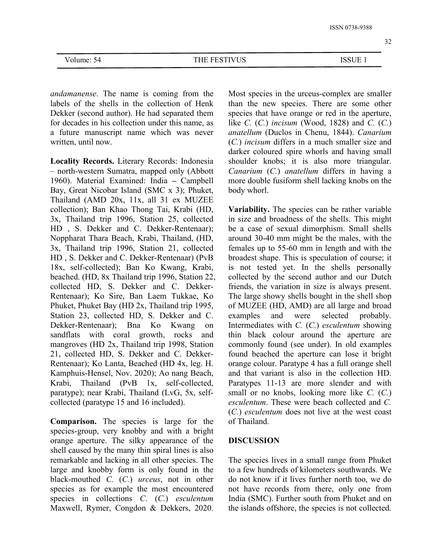| Volume: 54 |
|------------|
|------------|

*andamanense*. The name is coming from the labels of the shells in the collection of Henk Dekker (second author). He had separated them for decades in his collection under this name, as a future manuscript name which was never written, until now.

**Locality Records.** Literary Records: Indonesia *–* north-western Sumatra, mapped only (Abbott 1960). Material Examined: India **–** Campbell Bay, Great Nicobar Island (SMC x 3); Phuket, Thailand (AMD 20x, 11x, all 31 ex MUZEE collection); Ban Khao Thong Tai, Krabi (HD, 3x, Thailand trip 1996, Station 25, collected HD , S. Dekker and C. Dekker-Rentenaar); Noppharat Thara Beach, Krabi, Thailand, (HD, 3x, Thailand trip 1996, Station 21, collected HD , S. Dekker and C. Dekker-Rentenaar) (PvB 18x, self-collected); Ban Ko Kwang, Krabi, beached. (HD, 8x Thailand trip 1996, Station 22, collected HD, S. Dekker and C. Dekker- Rentenaar); Ko Sire, Ban Laem Tukkae, Ko Phuket, Phuket Bay (HD 2x, Thailand trip 1995, Station 23, collected HD, S. Dekker and C. examples and Dekker-Rentenaar); Bna Ko Kwang on sandflats with coral growth, rocks and mangroves (HD 2x, Thailand trip 1998, Station 21, collected HD, S. Dekker and C. Dekker- Rentenaar); Ko Lanta, Beached (HD 4x, leg. H. Kamphuis-Hensel, Nov. 2020); Ao nang Beach, Krabi, Thailand (PvB 1x, self-collected, paratype); near Krabi, Thailand (LvG, 5x, self collected (paratype 15 and 16 included).

**Comparison.** The species is large for the species-group, very knobby and with a bright orange aperture. The silky appearance of the shell caused by the many thin spiral lines is also remarkable and lacking in all other species. The large and knobby form is only found in the black-mouthed *C.* (*C.*) *urceus*, not in other species as for example the most encountered species in collections *C*. (*C.*) *esculentum* Maxwell, Rymer, Congdon & Dekkers, 2020.

Most species in the urceus-complex are smaller than the new species. There are some other species that have orange or red in the aperture, like *C.* (*C.*) *incisum* (Wood, 1828) and *C.* (*C.*) *anatellum* (Duclos in Chenu, 1844). *Canarium* (*C.*) *incisum* differs in a much smaller size and darker coloured spire whorls and having small shoulder knobs; it is also more triangular. *Canarium* (*C.*) *anatellum* differs in having a more double fusiform shell lacking knobs on the body whorl.

**Variability.** The species can be rather variable in size and broadness of the shells. This might be a case of sexual dimorphism. Small shells around 30-40 mm might be the males, with the females up to 55-60 mm in length and with the broadest shape. This is speculation of course; it is not tested yet. In the shells personally collected by the second author and our Dutch friends, the variation in size is always present. The large showy shells bought in the shell shop of MUZEE (HD, AMD) are all large and broad were selected probably. Intermediates with *C.* (*C.*) *esculentum* showing thin black colour around the aperture are commonly found (see under). In old examples found beached the aperture can lose it bright orange colour. Paratype 4 has a full orange shell and that variant is also in the collection HD. Paratypes 11-13 are more slender and with small or no knobs, looking more like *C.* (*C.*) *esculentum*. These were beach collected and *C.* (*C.*) *esculentum* does not live at the west coast of Thailand.

#### **DISCUSSION**

The species lives in a small range from Phuket to a few hundreds of kilometers southwards. We do not know if it lives further north too, we do not have records from there, only one from India (SMC). Further south from Phuket and on the islands offshore, the species is not collected.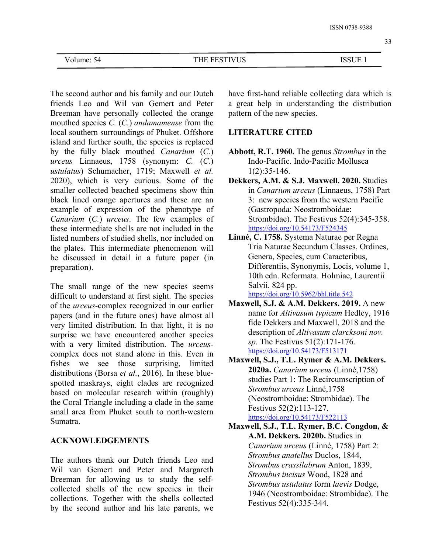The second author and his family and our Dutch friends Leo and Wil van Gemert and Peter Breeman have personally collected the orange mouthed species *C.* (*C.*) *andamamense* from the local southern surroundings of Phuket. Offshore island and further south, the species is replaced by the fully black mouthed *Canarium* (*C.*) *urceus* Linnaeus, 1758 (synonym: *C.* (*C.*) *ustulatus*) Schumacher, 1719; Maxwell *et al.* 2020), which is very curious. Some of the smaller collected beached specimens show thin black lined orange apertures and these are an example of expression of the phenotype of *Canarium* (*C.*) *urceus*. The few examples of these intermediate shells are not included in the listed numbers of studied shells, nor included on the plates. This intermediate phenomenon will be discussed in detail in a future paper (in preparation).

The small range of the new species seems difficult to understand at first sight. The species of the *urceus*-complex recognized in our earlier papers (and in the future ones) have almost all very limited distribution. In that light, it is no surprise we have encountered another species with a very limited distribution. The *urceus* complex does not stand alone in this. Even in fishes we see those surprising, limited distributions (Borsa *et al.*, 2016). In these blue spotted maskrays, eight clades are recognized based on molecular research within (roughly) the Coral Triangle including a clade in the same small area from Phuket south to north-western Sumatra.

## **ACKNOWLEDGEMENTS**

The authors thank our Dutch friends Leo and Wil van Gemert and Peter and Margareth Breeman for allowing us to study the self collected shells of the new species in their collections. Together with the shells collected by the second author and his late parents, we

have first-hand reliable collecting data which is a great help in understanding the distribution pattern of the new species.

## **LITERATURE CITED**

- **Abbott, R.T. 1960.** The genus *Strombus* in the Indo-Pacific. Indo-Pacific Mollusca 1(2):35-146.
- **Dekkers, A.M. & S.J. Maxwell. 2020.** Studies in *Canarium urceus* (Linnaeus, 1758) Part 3: new species from the western Pacific (Gastropoda: Neostromboidae: Strombidae). The Festivus 52(4):345-358. <https://doi.org/10.54173/F524345>
- **Linné, C. 1758.** Systema Naturae per Regna Tria Naturae Secundum Classes, Ordines, Genera, Species, cum Caracteribus, Differentiis, Synonymis, Locis, volume 1, 10th edn. Reformata. Holmiae, Laurentii Salvii. 824 pp.
	- <https://doi.org/10.5962/bhl.title.542>
- **Maxwell, S.J. & A.M. Dekkers. 2019.** A new name for *Altivasum typicum* Hedley, 1916 fide Dekkers and Maxwell, 2018 and the description of *Altivasum clarcksoni nov. sp*. The Festivus 51(2):171-176. <https://doi.org/10.54173/F513171>
- **Maxwell, S.J., T.L. Rymer & A.M. Dekkers. 2020a.** *Canarium urceus* (Linné,1758) studies Part 1: The Recircumscription of *Strombus urceus* Linné,1758 (Neostromboidae: Strombidae). The Festivus 52(2):113-127. <https://doi.org/10.54173/F522113>
- **Maxwell, S.J., T.L. Rymer, B.C. Congdon, & A.M. Dekkers. 2020b.** Studies in *Canarium urceus* (Linné, 1758) Part 2: *Strombus anatellus* Duclos, 1844, *Strombus crassilabrum* Anton, 1839, *Strombus incisus* Wood, 1828 and *Strombus ustulatus* form *laevis* Dodge, 1946 (Neostromboidae: Strombidae). The Festivus 52(4):335-344.

33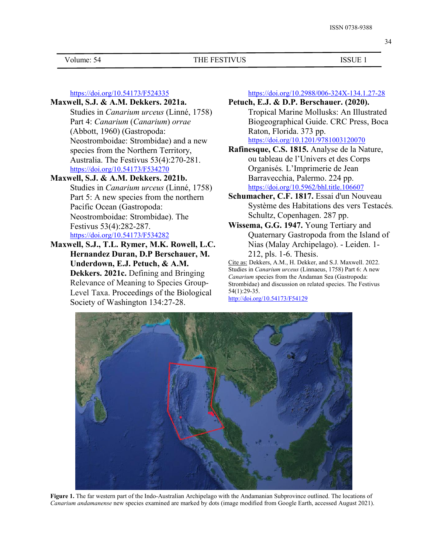Volume: 54 THE FESTIVUS ISSUE 1

<https://doi.org/10.54173/F524335>

## **Maxwell, S.J. & A.M. Dekkers. 2021a.**

Studies in *Canarium urceus* (Linné, 1758) Part 4: *Canarium* (*Canarium*) *orrae* (Abbott, 1960) (Gastropoda: Neostromboidae: Strombidae) and a new species from the Northern Territory, Australia. The Festivus 53(4):270-281. <https://doi.org/10.54173/F534270>

# **Maxwell, S.J. & A.M. Dekkers. 2021b.**

- Studies in *Canarium urceus* (Linné, 1758) Part 5: A new species from the northern Pacific Ocean (Gastropoda: Neostromboidae: Strombidae). The Festivus 53(4):282-287. <https://doi.org/10.54173/F534282>
- **Maxwell, S.J., T.L. Rymer, M.K. Rowell, L.C. Hernandez Duran, D.P Berschauer, M.Underdown, E.J. Petuch, & A.M. Dekkers. 2021c.** Defining and Bringing Relevance of Meaning to Species Group- Level Taxa. Proceedings of the Biological Society of Washington 134:27-28.

<https://doi.org/10.2988/006-324X-134.1.27-28>

- **Petuch, E.J. & D.P. Berschauer. (2020).** Tropical Marine Mollusks: An Illustrated Biogeographical Guide. CRC Press, Boca Raton, Florida. 373 pp. <https://doi.org/10.1201/9781003120070>
- **Rafinesque, C.S. 1815.** Analyse de la Nature, ou tableau de l'Univers et des Corps Organisés*.* L'Imprimerie de Jean Barravecchia, Palermo. 224 pp. <https://doi.org/10.5962/bhl.title.106607>
- **Schumacher, C.F. 1817.** Essai d'un Nouveau Système des Habitations des vers Testacés*.* Schultz, Copenhagen. 287 pp.
- **Wissema, G.G. 1947.** Young Tertiary and Quaternary Gastropoda from the Island of Nias (Malay Archipelago). - Leiden. 1- 212, pls. 1-6. Thesis.

Cite as: Dekkers, A.M., H. Dekker, and S.J. Maxwell. 2022. Studies in *Canarium urceus* (Linnaeus, 1758) Part 6: A new *Canarium* species from the Andaman Sea (Gastropoda: Strombidae) and discussion on related species. The Festivus 54(1):29-35.

<http://doi.org/10.54173/F54129>



**Figure 1.** The far western part of the Indo-Australian Archipelago with the Andamanian Subprovince outlined. The locations of *Canarium andamanense* new species examined are marked by dots (image modified from Google Earth, accessed August 2021).